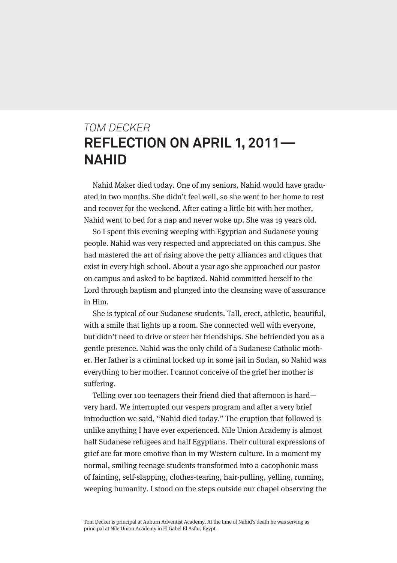## *TOM DECKER* **REFLECTION ON APRIL 1, 2011— NAHID**

Nahid Maker died today. One of my seniors, Nahid would have graduated in two months. She didn't feel well, so she went to her home to rest and recover for the weekend. After eating a little bit with her mother, Nahid went to bed for a nap and never woke up. She was 19 years old.

So I spent this evening weeping with Egyptian and Sudanese young people. Nahid was very respected and appreciated on this campus. She had mastered the art of rising above the petty alliances and cliques that exist in every high school. About a year ago she approached our pastor on campus and asked to be baptized. Nahid committed herself to the Lord through baptism and plunged into the cleansing wave of assurance in Him.

She is typical of our Sudanese students. Tall, erect, athletic, beautiful, with a smile that lights up a room. She connected well with everyone, but didn't need to drive or steer her friendships. She befriended you as a gentle presence. Nahid was the only child of a Sudanese Catholic mother. Her father is a criminal locked up in some jail in Sudan, so Nahid was everything to her mother. I cannot conceive of the grief her mother is suffering.

Telling over 100 teenagers their friend died that afternoon is hard very hard. We interrupted our vespers program and after a very brief introduction we said, "Nahid died today." The eruption that followed is unlike anything I have ever experienced. Nile Union Academy is almost half Sudanese refugees and half Egyptians. Their cultural expressions of grief are far more emotive than in my Western culture. In a moment my normal, smiling teenage students transformed into a cacophonic mass of fainting, self-slapping, clothes-tearing, hair-pulling, yelling, running, weeping humanity. I stood on the steps outside our chapel observing the